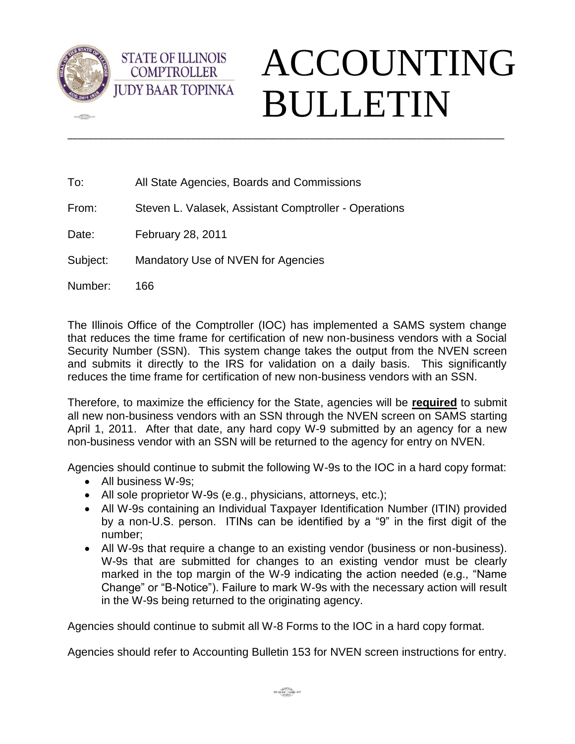

 $-100$ 



To: All State Agencies, Boards and Commissions

From: Steven L. Valasek, Assistant Comptroller - Operations

Date: February 28, 2011

**STATE OF ILLINOIS COMPTROLLER** 

Subject: Mandatory Use of NVEN for Agencies

Number: 166

The Illinois Office of the Comptroller (IOC) has implemented a SAMS system change that reduces the time frame for certification of new non-business vendors with a Social Security Number (SSN). This system change takes the output from the NVEN screen and submits it directly to the IRS for validation on a daily basis. This significantly reduces the time frame for certification of new non-business vendors with an SSN.

\_\_\_\_\_\_\_\_\_\_\_\_\_\_\_\_\_\_\_\_\_\_\_\_\_\_\_\_\_\_\_\_\_\_\_\_\_\_\_\_\_\_\_\_\_\_\_\_\_\_\_\_\_\_\_\_\_\_\_\_\_\_\_\_\_\_\_\_\_\_\_\_\_\_\_\_\_\_\_\_\_\_\_\_\_

Therefore, to maximize the efficiency for the State, agencies will be **required** to submit all new non-business vendors with an SSN through the NVEN screen on SAMS starting April 1, 2011. After that date, any hard copy W-9 submitted by an agency for a new non-business vendor with an SSN will be returned to the agency for entry on NVEN.

Agencies should continue to submit the following W-9s to the IOC in a hard copy format:

- All business W-9s;
- All sole proprietor W-9s (e.g., physicians, attorneys, etc.);
- All W-9s containing an Individual Taxpayer Identification Number (ITIN) provided by a non-U.S. person. ITINs can be identified by a "9" in the first digit of the number;
- All W-9s that require a change to an existing vendor (business or non-business). W-9s that are submitted for changes to an existing vendor must be clearly marked in the top margin of the W-9 indicating the action needed (e.g., "Name Change" or "B-Notice"). Failure to mark W-9s with the necessary action will result in the W-9s being returned to the originating agency.

Agencies should continue to submit all W-8 Forms to the IOC in a hard copy format.

Agencies should refer to Accounting Bulletin 153 for NVEN screen instructions for entry.